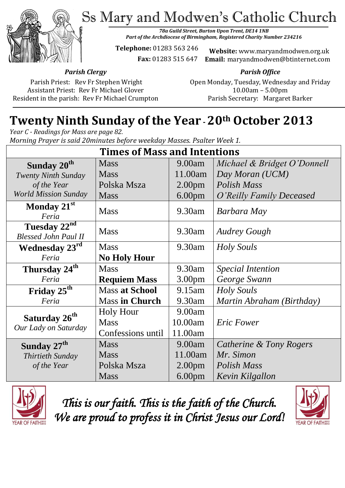Ss Mary and Modwen's Catholic Church



*78a Guild Street, Burton Upon Trent, DE14 1NB Part of the Archdiocese of Birmingham, Registered Charity Number 234216*

**Telephone:** 01283 563 246

 **Fax:** 01283 515 647

**Website:** www.maryandmodwen.org.uk **Email:** maryandmodwen@btinternet.com

*Parish Clergy*

Parish Priest: Rev Fr Stephen Wright Assistant Priest: Rev Fr Michael Glover Resident in the parish: Rev Fr Michael Crumpton

*Parish Office* Open Monday, Tuesday, Wednesday and Friday 10.00am – 5.00pm Parish Secretary:Margaret Barker

# **Twenty Ninth Sunday of the Year -20th October 2013**

*Year C - Readings for Mass are page 82. Morning Prayer is said 20minutes before weekday Masses. Psalter Week 1.*

| <b>Times of Mass and Intentions</b>               |                       |                    |                             |
|---------------------------------------------------|-----------------------|--------------------|-----------------------------|
| Sunday 20 <sup>th</sup>                           | <b>Mass</b>           | 9.00am             | Michael & Bridget O'Donnell |
| <b>Twenty Ninth Sunday</b>                        | <b>Mass</b>           | 11.00am            | Day Moran (UCM)             |
| of the Year                                       | Polska Msza           | 2.00 <sub>pm</sub> | Polish Mass                 |
| <b>World Mission Sunday</b>                       | <b>Mass</b>           | 6.00 <sub>pm</sub> | O'Reilly Family Deceased    |
| Monday 21st<br>Feria                              | <b>Mass</b>           | 9.30am             | Barbara May                 |
| Tuesday 22nd<br><b>Blessed John Paul II</b>       | <b>Mass</b>           | $9.30$ am          | <b>Audrey Gough</b>         |
| <b>Wednesday 23rd</b>                             | <b>Mass</b>           | 9.30am             | Holy Souls                  |
| Feria                                             | <b>No Holy Hour</b>   |                    |                             |
| Thursday 24 <sup>th</sup>                         | <b>Mass</b>           | 9.30am             | <i>Special Intention</i>    |
| Feria                                             | <b>Requiem Mass</b>   | 3.00 <sub>pm</sub> | George Swann                |
| Friday 25 <sup>th</sup>                           | <b>Mass at School</b> | $9.15$ am          | <b>Holy Souls</b>           |
| Feria                                             | <b>Mass in Church</b> | 9.30am             | Martin Abraham (Birthday)   |
|                                                   | <b>Holy Hour</b>      | 9.00am             |                             |
| Saturday 26 <sup>th</sup><br>Our Lady on Saturday | <b>Mass</b>           | 10.00am            | <b>Eric Fower</b>           |
|                                                   | Confessions until     | 11.00am            |                             |
| Sunday 27 <sup>th</sup>                           | <b>Mass</b>           | 9.00am             | Catherine & Tony Rogers     |
| Thirtieth Sunday                                  | <b>Mass</b>           | 11.00am            | Mr. Simon                   |
| of the Year                                       | Polska Msza           | 2.00 <sub>pm</sub> | Polish Mass                 |
|                                                   | <b>Mass</b>           | 6.00 <sub>pm</sub> | Kevin Kilgallon             |



*This is our faith. This is the faith of the Church. We are proud to profess it in Christ Jesus our Lord!* 

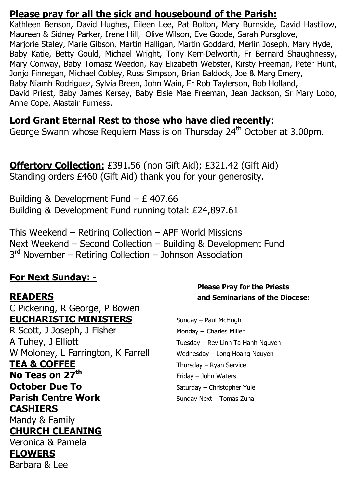### **Please pray for all the sick and housebound of the Parish:**

Kathleen Benson, David Hughes, Eileen Lee, Pat Bolton, Mary Burnside, David Hastilow, Maureen & Sidney Parker, Irene Hill, Olive Wilson, Eve Goode, Sarah Pursglove, Marjorie Staley, Marie Gibson, Martin Halligan, Martin Goddard, Merlin Joseph, Mary Hyde, Baby Katie, Betty Gould, Michael Wright, Tony Kerr-Delworth, Fr Bernard Shaughnessy, Mary Conway, Baby Tomasz Weedon, Kay Elizabeth Webster, Kirsty Freeman, Peter Hunt, Jonjo Finnegan, Michael Cobley, Russ Simpson, Brian Baldock, Joe & Marg Emery, Baby Niamh Rodriguez, Sylvia Breen, John Wain, Fr Rob Taylerson, Bob Holland, David Priest, Baby James Kersey, Baby Elsie Mae Freeman, Jean Jackson, Sr Mary Lobo, Anne Cope, Alastair Furness.

### **Lord Grant Eternal Rest to those who have died recently:**

George Swann whose Requiem Mass is on Thursday 24<sup>th</sup> October at 3.00pm.

**Offertory Collection:** £391.56 (non Gift Aid); £321.42 (Gift Aid) Standing orders £460 (Gift Aid) thank you for your generosity.

Building & Development Fund – £ 407.66 Building & Development Fund running total: £24,897.61

This Weekend – Retiring Collection – APF World Missions Next Weekend – Second Collection – Building & Development Fund 3<sup>rd</sup> November – Retiring Collection – Johnson Association

## **For Next Sunday: -**

C Pickering, R George, P Bowen **EUCHARISTIC MINISTERS** Sunday – Paul McHugh

R Scott, J Joseph, J Fisher Monday – Charles Miller A Tuhey, J Elliott Tuesday – Rev Linh Ta Hanh Nguyen W Moloney, L Farrington, K Farrell Wednesday - Long Hoang Nguyen **TEA & COFFEE** Thursday – Ryan Service **No Teas on 27<sup>th</sup>** Friday – John Waters **October Due To** Saturday – Christopher Yule **Parish Centre Work** Sunday Next – Tomas Zuna **CASHIERS** Mandy & Family **CHURCH CLEANING**

Veronica & Pamela **FLOWERS**  Barbara & Lee

### **Please Pray for the Priests READERS and Seminarians of the Diocese:**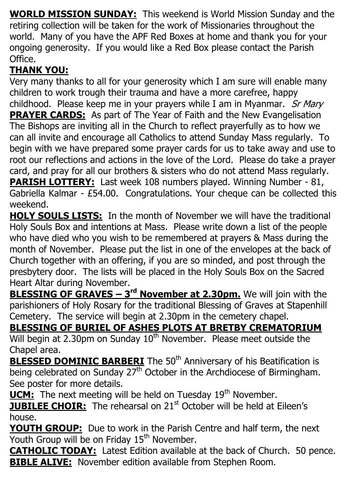**WORLD MISSION SUNDAY:** This weekend is World Mission Sunday and the retiring collection will be taken for the work of Missionaries throughout the world. Many of you have the APF Red Boxes at home and thank you for your ongoing generosity. If you would like a Red Box please contact the Parish Office.

## **THANK YOU:**

Very many thanks to all for your generosity which I am sure will enable many children to work trough their trauma and have a more carefree, happy childhood. Please keep me in your prayers while I am in Myanmar. Sr Mary **PRAYER CARDS:** As part of The Year of Faith and the New Evangelisation The Bishops are inviting all in the Church to reflect prayerfully as to how we can all invite and encourage all Catholics to attend Sunday Mass regularly. To begin with we have prepared some prayer cards for us to take away and use to root our reflections and actions in the love of the Lord. Please do take a prayer card, and pray for all our brothers & sisters who do not attend Mass regularly. **PARISH LOTTERY:** Last week 108 numbers played. Winning Number - 81, Gabriella Kalmar - £54.00. Congratulations. Your cheque can be collected this weekend.

**HOLY SOULS LISTS:** In the month of November we will have the traditional Holy Souls Box and intentions at Mass. Please write down a list of the people who have died who you wish to be remembered at prayers & Mass during the month of November. Please put the list in one of the envelopes at the back of Church together with an offering, if you are so minded, and post through the presbytery door. The lists will be placed in the Holy Souls Box on the Sacred Heart Altar during November.

**BLESSING OF GRAVES – 3 rd November at 2.30pm.** We will join with the parishioners of Holy Rosary for the traditional Blessing of Graves at Stapenhill Cemetery. The service will begin at 2.30pm in the cemetery chapel.

## **BLESSING OF BURIEL OF ASHES PLOTS AT BRETBY CREMATORIUM**

Will begin at 2.30pm on Sunday 10<sup>th</sup> November. Please meet outside the Chapel area.

**BLESSED DOMINIC BARBERI** The 50<sup>th</sup> Anniversary of his Beatification is being celebrated on Sunday  $27<sup>th</sup>$  October in the Archdiocese of Birmingham. See poster for more details.

**UCM:** The next meeting will be held on Tuesday 19<sup>th</sup> November.

**JUBILEE CHOIR:** The rehearsal on 21<sup>st</sup> October will be held at Eileen's house.

**YOUTH GROUP:** Due to work in the Parish Centre and half term, the next Youth Group will be on Friday 15<sup>th</sup> November.

**CATHOLIC TODAY:** Latest Edition available at the back of Church. 50 pence. **BIBLE ALIVE:** November edition available from Stephen Room.